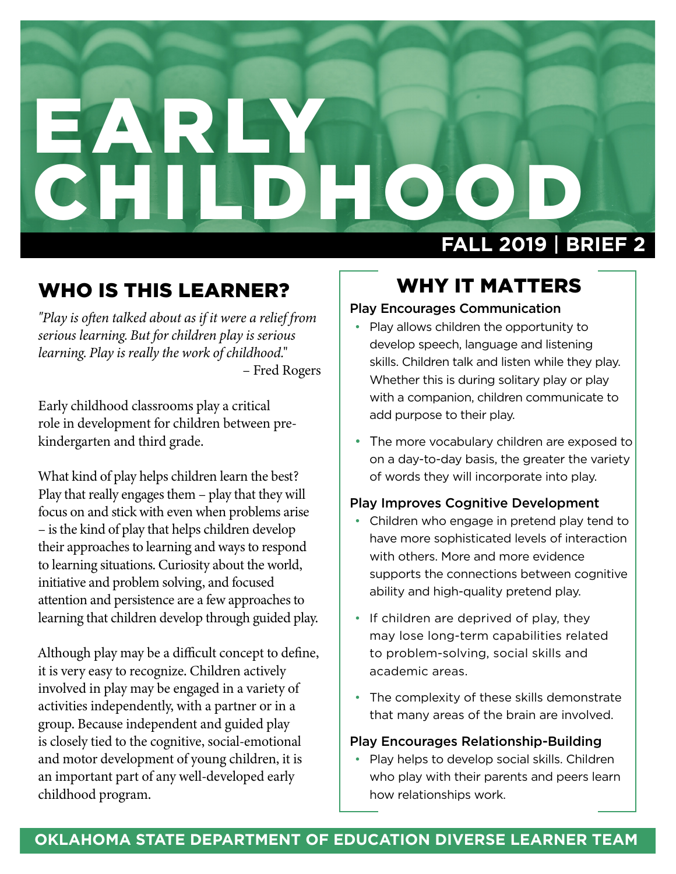# EARLY CHILDHO. **FALL 2019** | **BRIEF 2**

## WHO IS THIS LEARNER?

*"Play is often talked about as if it were a relief from serious learning. But for children play is serious learning. Play is really the work of childhood.*" – Fred Rogers

Early childhood classrooms play a critical role in development for children between prekindergarten and third grade.

What kind of play helps children learn the best? Play that really engages them – play that they will focus on and stick with even when problems arise – is the kind of play that helps children develop their approaches to learning and ways to respond to learning situations. Curiosity about the world, initiative and problem solving, and focused attention and persistence are a few approaches to learning that children develop through guided play.

Although play may be a difficult concept to define, it is very easy to recognize. Children actively involved in play may be engaged in a variety of activities independently, with a partner or in a group. Because independent and guided play is closely tied to the cognitive, social-emotional and motor development of young children, it is an important part of any well-developed early childhood program.

### WHY IT MATTERS

#### Play Encourages Communication

- Play allows children the opportunity to develop speech, language and listening skills. Children talk and listen while they play. Whether this is during solitary play or play with a companion, children communicate to add purpose to their play.
- The more vocabulary children are exposed to on a day-to-day basis, the greater the variety of words they will incorporate into play.

#### Play Improves Cognitive Development

- Children who engage in pretend play tend to have more sophisticated levels of interaction with others. More and more evidence supports the connections between cognitive ability and high-quality pretend play.
- If children are deprived of play, they may lose long-term capabilities related to problem-solving, social skills and academic areas.
- The complexity of these skills demonstrate that many areas of the brain are involved.

#### Play Encourages Relationship-Building

• Play helps to develop social skills. Children who play with their parents and peers learn how relationships work.

#### **OKLAHOMA STATE DEPARTMENT OF EDUCATION DIVERSE LEARNER TEAM**